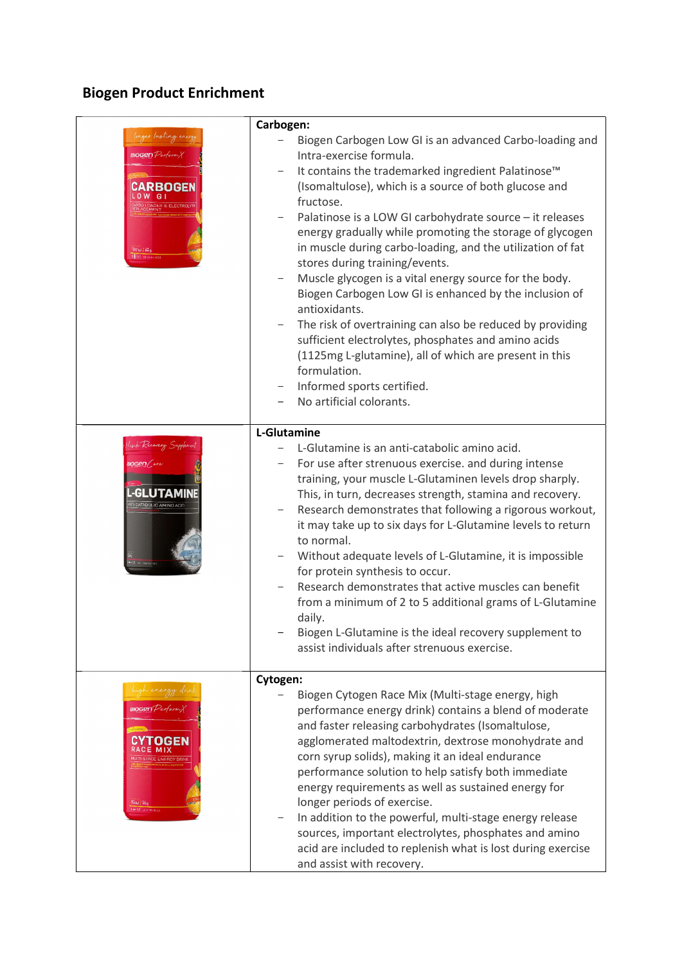## Biogen Product Enrichment

| BOGenPerform<br>347以1级<br>Ett tracent                                                    | Carbogen:<br>Biogen Carbogen Low GI is an advanced Carbo-loading and<br>Intra-exercise formula.<br>It contains the trademarked ingredient Palatinose <sup>™</sup><br>(Isomaltulose), which is a source of both glucose and<br>fructose.<br>Palatinose is a LOW GI carbohydrate source - it releases<br>energy gradually while promoting the storage of glycogen<br>in muscle during carbo-loading, and the utilization of fat<br>stores during training/events.<br>Muscle glycogen is a vital energy source for the body.<br>Biogen Carbogen Low GI is enhanced by the inclusion of<br>antioxidants.<br>The risk of overtraining can also be reduced by providing<br>sufficient electrolytes, phosphates and amino acids<br>(1125mg L-glutamine), all of which are present in this<br>formulation.<br>Informed sports certified.<br>No artificial colorants. |
|------------------------------------------------------------------------------------------|--------------------------------------------------------------------------------------------------------------------------------------------------------------------------------------------------------------------------------------------------------------------------------------------------------------------------------------------------------------------------------------------------------------------------------------------------------------------------------------------------------------------------------------------------------------------------------------------------------------------------------------------------------------------------------------------------------------------------------------------------------------------------------------------------------------------------------------------------------------|
| -GLUTAM<br><b>ITI CATABOLIC AMINO ACID</b>                                               | L-Glutamine<br>L-Glutamine is an anti-catabolic amino acid.<br>For use after strenuous exercise. and during intense<br>training, your muscle L-Glutaminen levels drop sharply.<br>This, in turn, decreases strength, stamina and recovery.<br>Research demonstrates that following a rigorous workout,<br>it may take up to six days for L-Glutamine levels to return<br>to normal.<br>Without adequate levels of L-Glutamine, it is impossible<br>for protein synthesis to occur.<br>Research demonstrates that active muscles can benefit<br>from a minimum of 2 to 5 additional grams of L-Glutamine<br>daily.<br>Biogen L-Glutamine is the ideal recovery supplement to<br>assist individuals after strenuous exercise.                                                                                                                                  |
| $\mathsf{BOGernPerform}\rangle$<br>OGEN<br><b>STAGE ENERCY DRINK</b><br><b>BAKJ / 45</b> | Cytogen:<br>Biogen Cytogen Race Mix (Multi-stage energy, high<br>performance energy drink) contains a blend of moderate<br>and faster releasing carbohydrates (Isomaltulose,<br>agglomerated maltodextrin, dextrose monohydrate and<br>corn syrup solids), making it an ideal endurance<br>performance solution to help satisfy both immediate<br>energy requirements as well as sustained energy for<br>longer periods of exercise.<br>In addition to the powerful, multi-stage energy release<br>sources, important electrolytes, phosphates and amino<br>acid are included to replenish what is lost during exercise<br>and assist with recovery.                                                                                                                                                                                                         |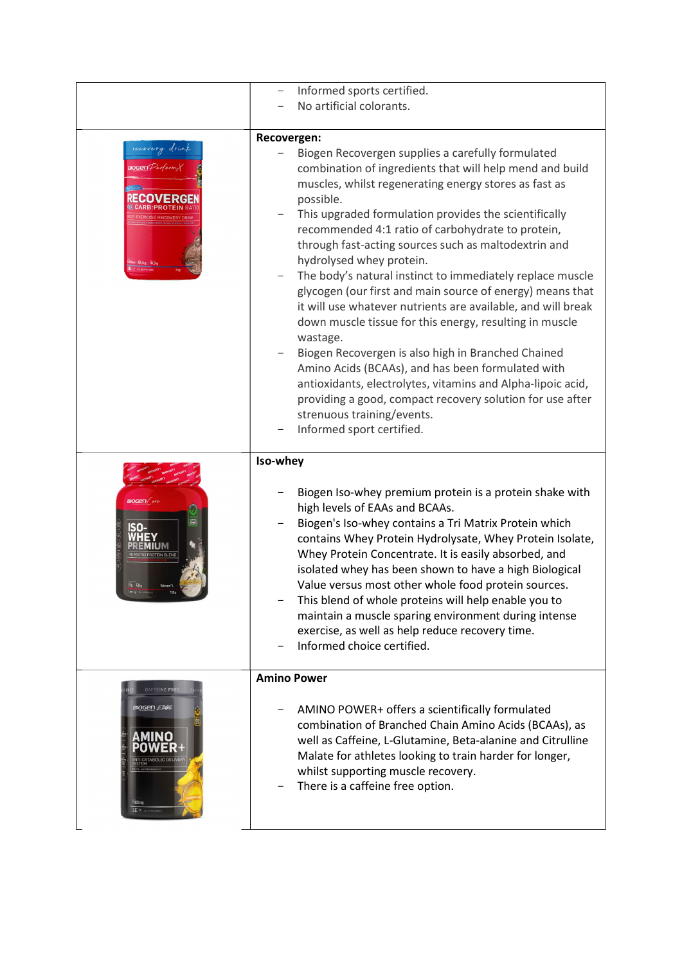|                                                                         | Informed sports certified.                                                                                                                                                                                                                                                                                                                                                                                                                                                                                                                                                                                                                                                                                                                                                                                                                                                                                                                                              |
|-------------------------------------------------------------------------|-------------------------------------------------------------------------------------------------------------------------------------------------------------------------------------------------------------------------------------------------------------------------------------------------------------------------------------------------------------------------------------------------------------------------------------------------------------------------------------------------------------------------------------------------------------------------------------------------------------------------------------------------------------------------------------------------------------------------------------------------------------------------------------------------------------------------------------------------------------------------------------------------------------------------------------------------------------------------|
|                                                                         | No artificial colorants.                                                                                                                                                                                                                                                                                                                                                                                                                                                                                                                                                                                                                                                                                                                                                                                                                                                                                                                                                |
| recovery dring<br>$0$ Gen $\mathcal{V}$ erform $\mathcal{V}$            | Recovergen:<br>Biogen Recovergen supplies a carefully formulated<br>combination of ingredients that will help mend and build<br>muscles, whilst regenerating energy stores as fast as<br>possible.<br>This upgraded formulation provides the scientifically<br>recommended 4:1 ratio of carbohydrate to protein,<br>through fast-acting sources such as maltodextrin and<br>hydrolysed whey protein.<br>The body's natural instinct to immediately replace muscle<br>glycogen (our first and main source of energy) means that<br>it will use whatever nutrients are available, and will break<br>down muscle tissue for this energy, resulting in muscle<br>wastage.<br>Biogen Recovergen is also high in Branched Chained<br>Amino Acids (BCAAs), and has been formulated with<br>antioxidants, electrolytes, vitamins and Alpha-lipoic acid,<br>providing a good, compact recovery solution for use after<br>strenuous training/events.<br>Informed sport certified. |
| <b>BIOGEN</b><br>219 4.99                                               | Iso-whey<br>Biogen Iso-whey premium protein is a protein shake with<br>high levels of EAAs and BCAAs.<br>Biogen's Iso-whey contains a Tri Matrix Protein which<br>contains Whey Protein Hydrolysate, Whey Protein Isolate,<br>Whey Protein Concentrate. It is easily absorbed, and<br>isolated whey has been shown to have a high Biological<br>Value versus most other whole food protein sources.<br>This blend of whole proteins will help enable you to<br>maintain a muscle sparing environment during intense<br>exercise, as well as help reduce recovery time.<br>Informed choice certified.                                                                                                                                                                                                                                                                                                                                                                    |
| CAFFEINE FR<br><b>BIOGEN £ 06L</b><br>MINO<br>7000 mg<br>ELX 19 SERVINI | <b>Amino Power</b><br>AMINO POWER+ offers a scientifically formulated<br>combination of Branched Chain Amino Acids (BCAAs), as<br>well as Caffeine, L-Glutamine, Beta-alanine and Citrulline<br>Malate for athletes looking to train harder for longer,<br>whilst supporting muscle recovery.<br>There is a caffeine free option.                                                                                                                                                                                                                                                                                                                                                                                                                                                                                                                                                                                                                                       |